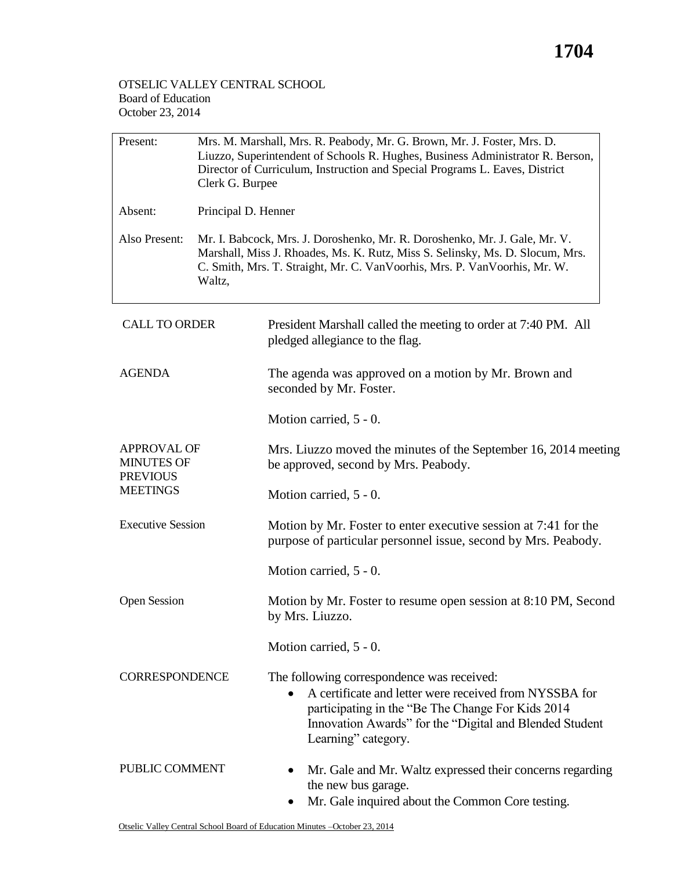## **1704**

## OTSELIC VALLEY CENTRAL SCHOOL Board of Education October 23, 2014

| Present:                                                                      | Mrs. M. Marshall, Mrs. R. Peabody, Mr. G. Brown, Mr. J. Foster, Mrs. D.<br>Liuzzo, Superintendent of Schools R. Hughes, Business Administrator R. Berson,<br>Director of Curriculum, Instruction and Special Programs L. Eaves, District<br>Clerk G. Burpee |                                                                                                                                                                                                                                             |  |  |
|-------------------------------------------------------------------------------|-------------------------------------------------------------------------------------------------------------------------------------------------------------------------------------------------------------------------------------------------------------|---------------------------------------------------------------------------------------------------------------------------------------------------------------------------------------------------------------------------------------------|--|--|
| Absent:                                                                       | Principal D. Henner                                                                                                                                                                                                                                         |                                                                                                                                                                                                                                             |  |  |
| Also Present:                                                                 | Mr. I. Babcock, Mrs. J. Doroshenko, Mr. R. Doroshenko, Mr. J. Gale, Mr. V.<br>Marshall, Miss J. Rhoades, Ms. K. Rutz, Miss S. Selinsky, Ms. D. Slocum, Mrs.<br>C. Smith, Mrs. T. Straight, Mr. C. VanVoorhis, Mrs. P. VanVoorhis, Mr. W.<br>Waltz,          |                                                                                                                                                                                                                                             |  |  |
| <b>CALL TO ORDER</b>                                                          |                                                                                                                                                                                                                                                             | President Marshall called the meeting to order at 7:40 PM. All<br>pledged allegiance to the flag.                                                                                                                                           |  |  |
| <b>AGENDA</b>                                                                 |                                                                                                                                                                                                                                                             | The agenda was approved on a motion by Mr. Brown and<br>seconded by Mr. Foster.                                                                                                                                                             |  |  |
|                                                                               |                                                                                                                                                                                                                                                             | Motion carried, 5 - 0.                                                                                                                                                                                                                      |  |  |
| <b>APPROVAL OF</b><br><b>MINUTES OF</b><br><b>PREVIOUS</b><br><b>MEETINGS</b> |                                                                                                                                                                                                                                                             | Mrs. Liuzzo moved the minutes of the September 16, 2014 meeting<br>be approved, second by Mrs. Peabody.                                                                                                                                     |  |  |
|                                                                               |                                                                                                                                                                                                                                                             | Motion carried, 5 - 0.                                                                                                                                                                                                                      |  |  |
| <b>Executive Session</b>                                                      |                                                                                                                                                                                                                                                             | Motion by Mr. Foster to enter executive session at 7:41 for the<br>purpose of particular personnel issue, second by Mrs. Peabody.                                                                                                           |  |  |
|                                                                               |                                                                                                                                                                                                                                                             | Motion carried, 5 - 0.                                                                                                                                                                                                                      |  |  |
| <b>Open Session</b>                                                           |                                                                                                                                                                                                                                                             | Motion by Mr. Foster to resume open session at 8:10 PM, Second<br>by Mrs. Liuzzo.                                                                                                                                                           |  |  |
|                                                                               |                                                                                                                                                                                                                                                             | Motion carried, 5 - 0.                                                                                                                                                                                                                      |  |  |
| <b>CORRESPONDENCE</b>                                                         |                                                                                                                                                                                                                                                             | The following correspondence was received:<br>A certificate and letter were received from NYSSBA for<br>participating in the "Be The Change For Kids 2014<br>Innovation Awards" for the "Digital and Blended Student<br>Learning" category. |  |  |
| PUBLIC COMMENT                                                                |                                                                                                                                                                                                                                                             | Mr. Gale and Mr. Waltz expressed their concerns regarding<br>the new bus garage.<br>Mr. Gale inquired about the Common Core testing.                                                                                                        |  |  |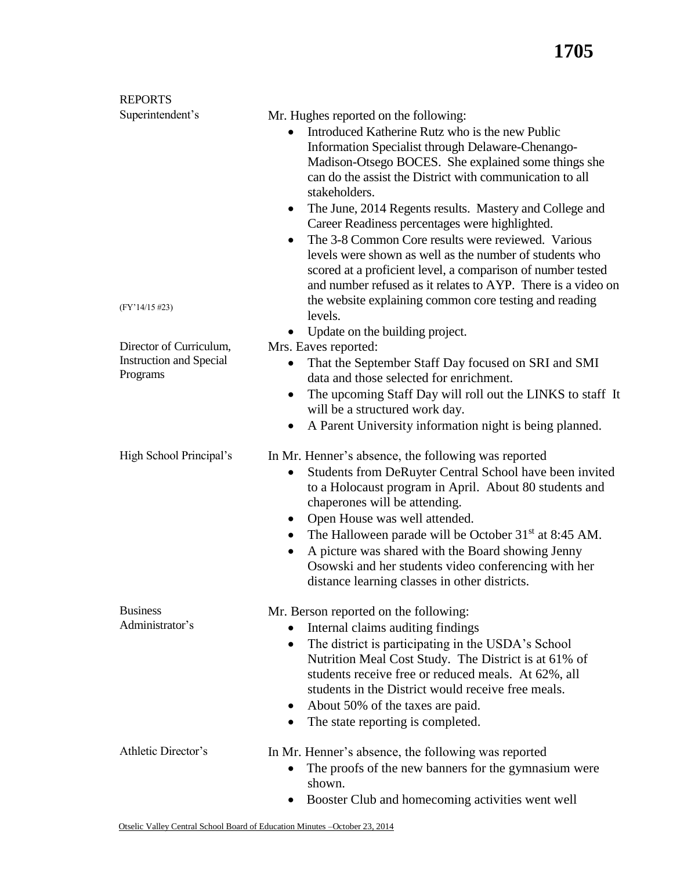| <b>REPORTS</b>                                                        |                                                                                                                                                                                                                                                                                                                                                                                                                                                                                                                                                                                                                                                                                                                                    |
|-----------------------------------------------------------------------|------------------------------------------------------------------------------------------------------------------------------------------------------------------------------------------------------------------------------------------------------------------------------------------------------------------------------------------------------------------------------------------------------------------------------------------------------------------------------------------------------------------------------------------------------------------------------------------------------------------------------------------------------------------------------------------------------------------------------------|
| Superintendent's<br>$(FY'14/15\#23)$                                  | Mr. Hughes reported on the following:<br>Introduced Katherine Rutz who is the new Public<br>Information Specialist through Delaware-Chenango-<br>Madison-Otsego BOCES. She explained some things she<br>can do the assist the District with communication to all<br>stakeholders.<br>The June, 2014 Regents results. Mastery and College and<br>$\bullet$<br>Career Readiness percentages were highlighted.<br>The 3-8 Common Core results were reviewed. Various<br>$\bullet$<br>levels were shown as well as the number of students who<br>scored at a proficient level, a comparison of number tested<br>and number refused as it relates to AYP. There is a video on<br>the website explaining common core testing and reading |
|                                                                       | levels.                                                                                                                                                                                                                                                                                                                                                                                                                                                                                                                                                                                                                                                                                                                            |
| Director of Curriculum,<br><b>Instruction and Special</b><br>Programs | Update on the building project.<br>Mrs. Eaves reported:<br>That the September Staff Day focused on SRI and SMI<br>data and those selected for enrichment.<br>The upcoming Staff Day will roll out the LINKS to staff It<br>$\bullet$<br>will be a structured work day.<br>A Parent University information night is being planned.<br>$\bullet$                                                                                                                                                                                                                                                                                                                                                                                     |
| High School Principal's                                               | In Mr. Henner's absence, the following was reported<br>Students from DeRuyter Central School have been invited<br>$\bullet$<br>to a Holocaust program in April. About 80 students and<br>chaperones will be attending.<br>Open House was well attended.<br>٠<br>The Halloween parade will be October 31 <sup>st</sup> at 8:45 AM.<br>٠<br>A picture was shared with the Board showing Jenny<br>$\bullet$<br>Osowski and her students video conferencing with her<br>distance learning classes in other districts.                                                                                                                                                                                                                  |
| <b>Business</b><br>Administrator's                                    | Mr. Berson reported on the following:<br>Internal claims auditing findings<br>The district is participating in the USDA's School<br>$\bullet$<br>Nutrition Meal Cost Study. The District is at 61% of<br>students receive free or reduced meals. At 62%, all<br>students in the District would receive free meals.<br>About 50% of the taxes are paid.<br>$\bullet$<br>The state reporting is completed.<br>٠                                                                                                                                                                                                                                                                                                                      |
| Athletic Director's                                                   | In Mr. Henner's absence, the following was reported<br>The proofs of the new banners for the gymnasium were<br>$\bullet$<br>shown.<br>Booster Club and homecoming activities went well                                                                                                                                                                                                                                                                                                                                                                                                                                                                                                                                             |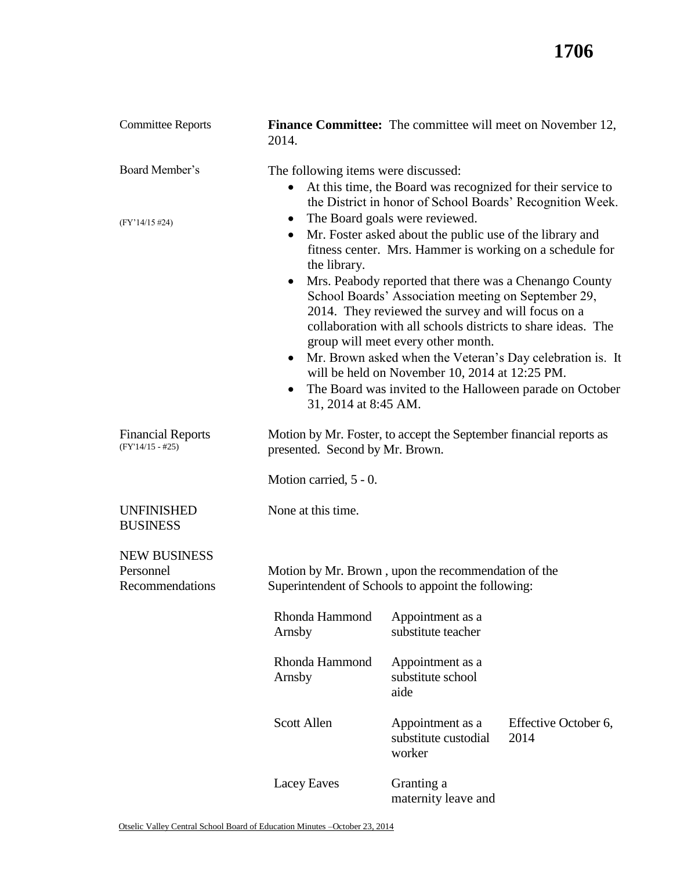| <b>Committee Reports</b>                            | 2014.                                                                                                      | <b>Finance Committee:</b> The committee will meet on November 12,                                                                                                                                                                                                                                                                                                                                                                                                                     |                                                                                                                       |
|-----------------------------------------------------|------------------------------------------------------------------------------------------------------------|---------------------------------------------------------------------------------------------------------------------------------------------------------------------------------------------------------------------------------------------------------------------------------------------------------------------------------------------------------------------------------------------------------------------------------------------------------------------------------------|-----------------------------------------------------------------------------------------------------------------------|
| Board Member's                                      | The following items were discussed:<br>$\bullet$                                                           | At this time, the Board was recognized for their service to                                                                                                                                                                                                                                                                                                                                                                                                                           | the District in honor of School Boards' Recognition Week.                                                             |
| $(FY'14/15\#24)$                                    | $\bullet$<br>$\bullet$<br>the library.<br>$\bullet$<br>$\bullet$<br>31, 2014 at 8:45 AM.                   | The Board goals were reviewed.<br>Mr. Foster asked about the public use of the library and<br>fitness center. Mrs. Hammer is working on a schedule for<br>Mrs. Peabody reported that there was a Chenango County<br>School Boards' Association meeting on September 29,<br>2014. They reviewed the survey and will focus on a<br>collaboration with all schools districts to share ideas. The<br>group will meet every other month.<br>will be held on November 10, 2014 at 12:25 PM. | Mr. Brown asked when the Veteran's Day celebration is. It<br>The Board was invited to the Halloween parade on October |
| <b>Financial Reports</b><br>$(FY'14/15 - #25)$      | presented. Second by Mr. Brown.                                                                            | Motion by Mr. Foster, to accept the September financial reports as                                                                                                                                                                                                                                                                                                                                                                                                                    |                                                                                                                       |
|                                                     | Motion carried, 5 - 0.                                                                                     |                                                                                                                                                                                                                                                                                                                                                                                                                                                                                       |                                                                                                                       |
| <b>UNFINISHED</b><br><b>BUSINESS</b>                | None at this time.                                                                                         |                                                                                                                                                                                                                                                                                                                                                                                                                                                                                       |                                                                                                                       |
| <b>NEW BUSINESS</b><br>Personnel<br>Recommendations | Motion by Mr. Brown, upon the recommendation of the<br>Superintendent of Schools to appoint the following: |                                                                                                                                                                                                                                                                                                                                                                                                                                                                                       |                                                                                                                       |
|                                                     | Rhonda Hammond<br>Arnsby                                                                                   | Appointment as a<br>substitute teacher                                                                                                                                                                                                                                                                                                                                                                                                                                                |                                                                                                                       |
|                                                     | Rhonda Hammond<br>Arnsby                                                                                   | Appointment as a<br>substitute school<br>aide                                                                                                                                                                                                                                                                                                                                                                                                                                         |                                                                                                                       |
|                                                     | <b>Scott Allen</b>                                                                                         | Appointment as a<br>substitute custodial<br>worker                                                                                                                                                                                                                                                                                                                                                                                                                                    | Effective October 6,<br>2014                                                                                          |
|                                                     | Lacey Eaves                                                                                                | Granting a<br>maternity leave and                                                                                                                                                                                                                                                                                                                                                                                                                                                     |                                                                                                                       |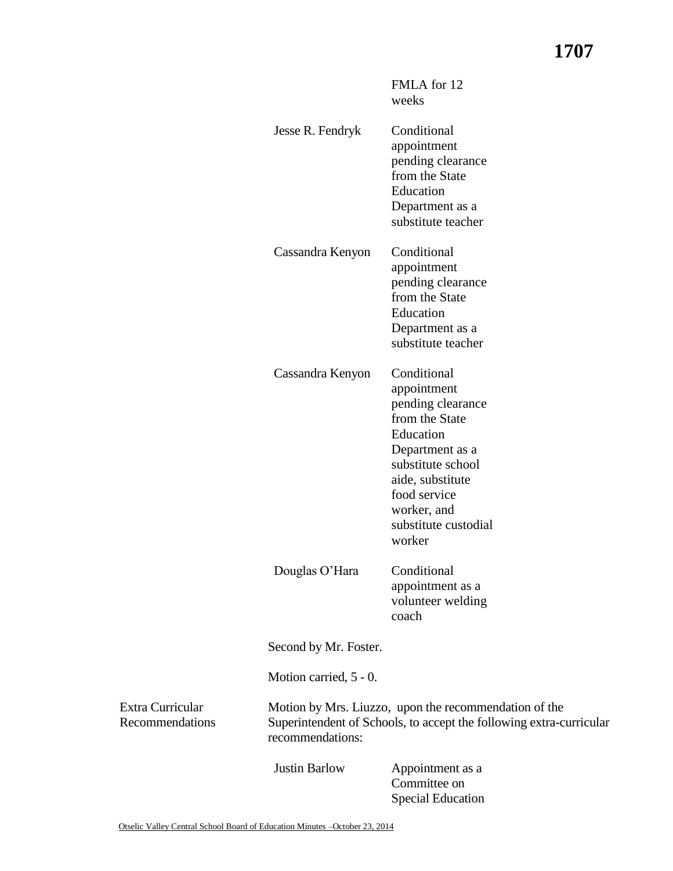FMLA for 12 weeks

|                                     | Jesse R. Fendryk       | Conditional<br>appointment<br>pending clearance<br>from the State<br>Education<br>Department as a<br>substitute teacher                                                                                     |
|-------------------------------------|------------------------|-------------------------------------------------------------------------------------------------------------------------------------------------------------------------------------------------------------|
|                                     | Cassandra Kenyon       | Conditional<br>appointment<br>pending clearance<br>from the State<br>Education<br>Department as a<br>substitute teacher                                                                                     |
|                                     | Cassandra Kenyon       | Conditional<br>appointment<br>pending clearance<br>from the State<br>Education<br>Department as a<br>substitute school<br>aide, substitute<br>food service<br>worker, and<br>substitute custodial<br>worker |
|                                     | Douglas O'Hara         | Conditional<br>appointment as a<br>volunteer welding<br>coach                                                                                                                                               |
|                                     | Second by Mr. Foster.  |                                                                                                                                                                                                             |
|                                     | Motion carried, 5 - 0. |                                                                                                                                                                                                             |
| Extra Curricular<br>Recommendations | recommendations:       | Motion by Mrs. Liuzzo, upon the recommendation of the<br>Superintendent of Schools, to accept the following extra-curricular                                                                                |
|                                     | <b>Justin Barlow</b>   | Appointment as a<br>Committee on<br><b>Special Education</b>                                                                                                                                                |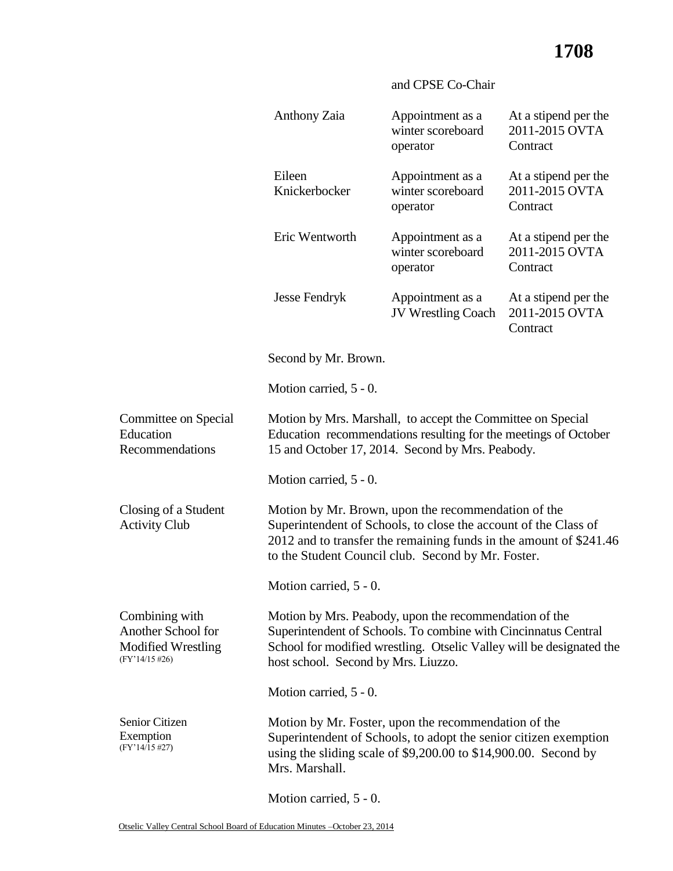## and CPSE Co-Chair

|                                                                                       | Anthony Zaia                                                                                                                                                                                                                                       | Appointment as a<br>winter scoreboard<br>operator | At a stipend per the<br>2011-2015 OVTA<br>Contract |
|---------------------------------------------------------------------------------------|----------------------------------------------------------------------------------------------------------------------------------------------------------------------------------------------------------------------------------------------------|---------------------------------------------------|----------------------------------------------------|
|                                                                                       | Eileen<br>Knickerbocker                                                                                                                                                                                                                            | Appointment as a<br>winter scoreboard<br>operator | At a stipend per the<br>2011-2015 OVTA<br>Contract |
|                                                                                       | Eric Wentworth                                                                                                                                                                                                                                     | Appointment as a<br>winter scoreboard<br>operator | At a stipend per the<br>2011-2015 OVTA<br>Contract |
|                                                                                       | Jesse Fendryk                                                                                                                                                                                                                                      | Appointment as a<br>JV Wrestling Coach            | At a stipend per the<br>2011-2015 OVTA<br>Contract |
|                                                                                       | Second by Mr. Brown.                                                                                                                                                                                                                               |                                                   |                                                    |
|                                                                                       | Motion carried, 5 - 0.                                                                                                                                                                                                                             |                                                   |                                                    |
| Committee on Special<br>Education<br>Recommendations                                  | Motion by Mrs. Marshall, to accept the Committee on Special<br>Education recommendations resulting for the meetings of October<br>15 and October 17, 2014. Second by Mrs. Peabody.                                                                 |                                                   |                                                    |
|                                                                                       | Motion carried, 5 - 0.                                                                                                                                                                                                                             |                                                   |                                                    |
| Closing of a Student<br><b>Activity Club</b>                                          | Motion by Mr. Brown, upon the recommendation of the<br>Superintendent of Schools, to close the account of the Class of<br>2012 and to transfer the remaining funds in the amount of \$241.46<br>to the Student Council club. Second by Mr. Foster. |                                                   |                                                    |
|                                                                                       | Motion carried, 5 - 0.                                                                                                                                                                                                                             |                                                   |                                                    |
| Combining with<br>Another School for<br><b>Modified Wrestling</b><br>$(FY'14/15\#26)$ | Motion by Mrs. Peabody, upon the recommendation of the<br>Superintendent of Schools. To combine with Cincinnatus Central<br>School for modified wrestling. Otselic Valley will be designated the<br>host school. Second by Mrs. Liuzzo.            |                                                   |                                                    |
|                                                                                       | Motion carried, 5 - 0.                                                                                                                                                                                                                             |                                                   |                                                    |
| Senior Citizen<br>Exemption<br>$(FY'14/15 \#27)$                                      | Motion by Mr. Foster, upon the recommendation of the<br>Superintendent of Schools, to adopt the senior citizen exemption<br>using the sliding scale of $$9,200.00$ to $$14,900.00$ . Second by<br>Mrs. Marshall.                                   |                                                   |                                                    |

Motion carried, 5 - 0.